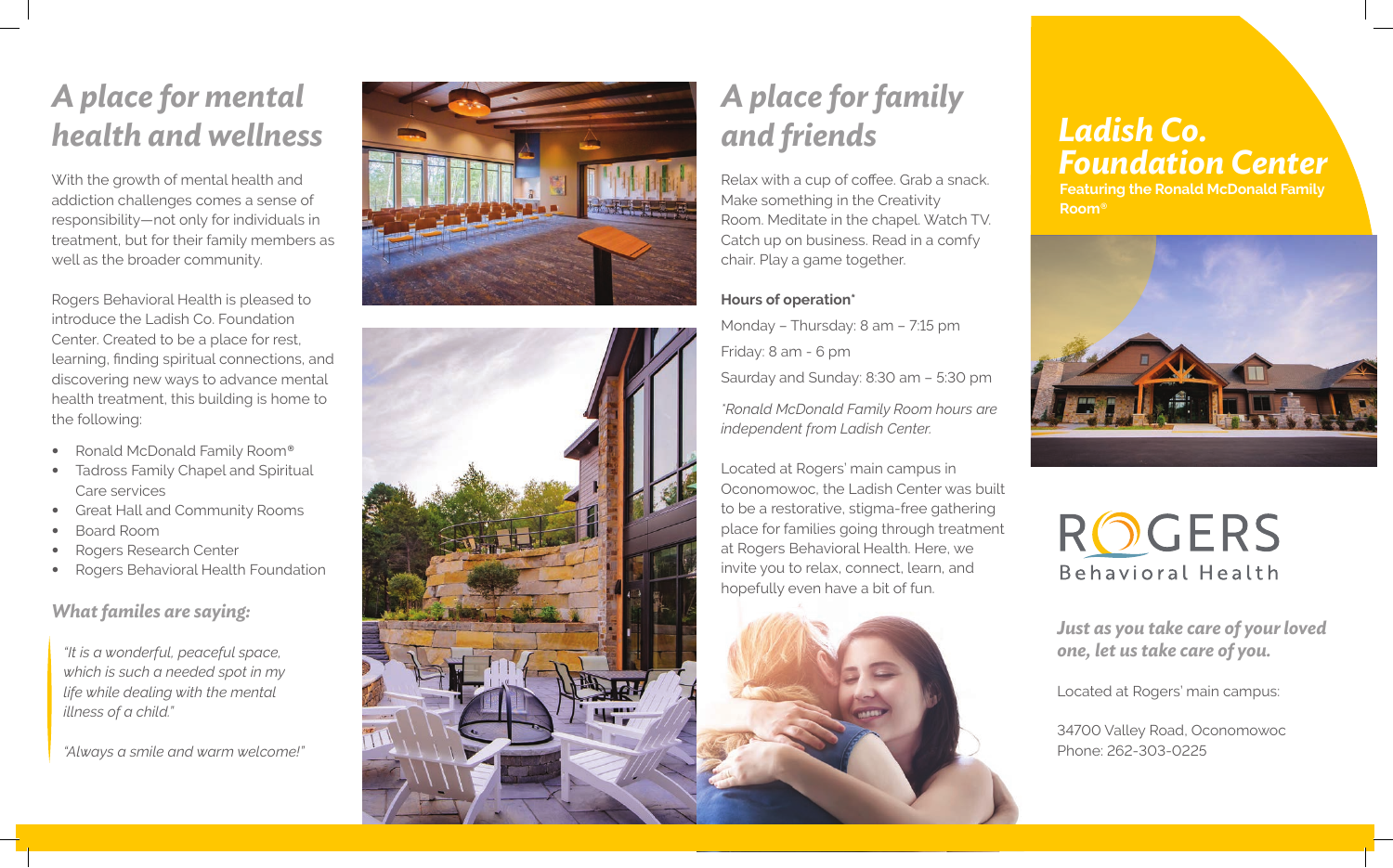## *A place for mental health and wellness*

With the growth of mental health and addiction challenges comes a sense of responsibility—not only for individuals in treatment, but for their family members as well as the broader community.

Rogers Behavioral Health is pleased to introduce the Ladish Co. Foundation Center. Created to be a place for rest, learning, finding spiritual connections, and discovering new ways to advance mental health treatment, this building is home to the following:

- Ronald McDonald Family Room *®*
- **Tadross Family Chapel and Spiritual** Care services
- Great Hall and Community Rooms
- Board Room
- Rogers Research Center
- Rogers Behavioral Health Foundation

### *What familes are saying:*

*"It is a wonderful, peaceful space, which is such a needed spot in my life while dealing with the mental illness of a child."*

*"Always a smile and warm welcome!"*





# *A place for family and friends*

Relax with a cup of coffee. Grab a snack. Make something in the Creativity Room. Meditate in the chapel. Watch TV. Catch up on business. Read in a comfy chair. Play a game together.

### **Hours of operation\***

Monday – Thursday: 8 am – 7:15 pm Friday: 8 am - 6 pm

Saurday and Sunday: 8:30 am – 5:30 pm

*\*Ronald McDonald Family Room hours are independent from Ladish Center.*

Located at Rogers' main campus in Oconomowoc, the Ladish Center was built to be a restorative, stigma-free gathering place for families going through treatment at Rogers Behavioral Health. Here, we invite you to relax, connect, learn, and hopefully even have a bit of fun.

## *Ladish Co. Foundation Center*

**Featuring the Ronald McDonald Family Room** *®*





*Just as you take care of your loved one, let us take care of you.* 

Located at Rogers' main campus:

34700 Valley Road, Oconomowoc Phone: 262-303-0225